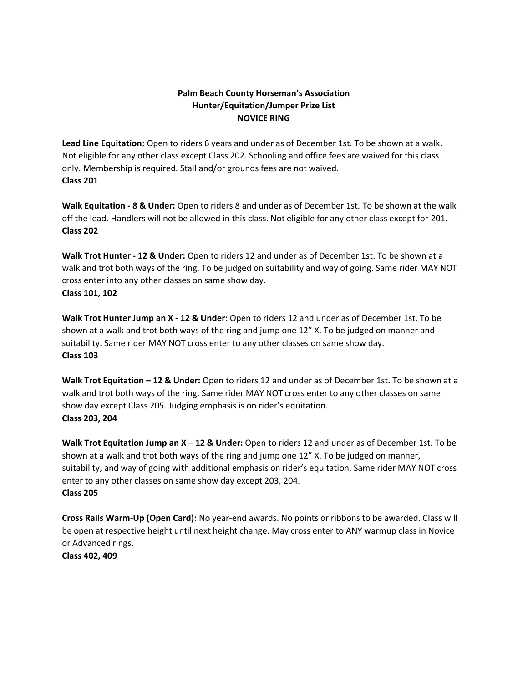# **Palm Beach County Horseman's Association Hunter/Equitation/Jumper Prize List NOVICE RING**

**Lead Line Equitation:** Open to riders 6 years and under as of December 1st. To be shown at a walk. Not eligible for any other class except Class 202. Schooling and office fees are waived for this class only. Membership is required. Stall and/or grounds fees are not waived. **Class 201**

**Walk Equitation - 8 & Under:** Open to riders 8 and under as of December 1st. To be shown at the walk off the lead. Handlers will not be allowed in this class. Not eligible for any other class except for 201. **Class 202**

**Walk Trot Hunter - 12 & Under:** Open to riders 12 and under as of December 1st. To be shown at a walk and trot both ways of the ring. To be judged on suitability and way of going. Same rider MAY NOT cross enter into any other classes on same show day. **Class 101, 102**

**Walk Trot Hunter Jump an X - 12 & Under:** Open to riders 12 and under as of December 1st. To be shown at a walk and trot both ways of the ring and jump one 12" X. To be judged on manner and suitability. Same rider MAY NOT cross enter to any other classes on same show day. **Class 103**

**Walk Trot Equitation – 12 & Under:** Open to riders 12 and under as of December 1st. To be shown at a walk and trot both ways of the ring. Same rider MAY NOT cross enter to any other classes on same show day except Class 205. Judging emphasis is on rider's equitation. **Class 203, 204**

**Walk Trot Equitation Jump an X – 12 & Under:** Open to riders 12 and under as of December 1st. To be shown at a walk and trot both ways of the ring and jump one 12" X. To be judged on manner, suitability, and way of going with additional emphasis on rider's equitation. Same rider MAY NOT cross enter to any other classes on same show day except 203, 204. **Class 205**

**Cross Rails Warm-Up (Open Card):** No year-end awards. No points or ribbons to be awarded. Class will be open at respective height until next height change. May cross enter to ANY warmup class in Novice or Advanced rings.

**Class 402, 409**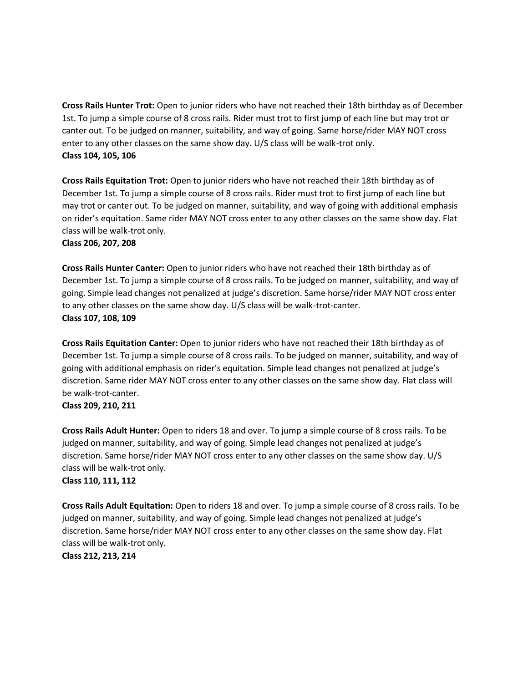**Cross Rails Hunter Trot:** Open to junior riders who have not reached their 18th birthday as of December 1st. To jump a simple course of 8 cross rails. Rider must trot to first jump of each line but may trot or canter out. To be judged on manner, suitability, and way of going. Same horse/rider MAY NOT cross enter to any other classes on the same show day. U/S class will be walk-trot only. **Class 104, 105, 106**

**Cross Rails Equitation Trot:** Open to junior riders who have not reached their 18th birthday as of December 1st. To jump a simple course of 8 cross rails. Rider must trot to first jump of each line but may trot or canter out. To be judged on manner, suitability, and way of going with additional emphasis on rider's equitation. Same rider MAY NOT cross enter to any other classes on the same show day. Flat class will be walk-trot only.

#### **Class 206, 207, 208**

**Cross Rails Hunter Canter:** Open to junior riders who have not reached their 18th birthday as of December 1st. To jump a simple course of 8 cross rails. To be judged on manner, suitability, and way of going. Simple lead changes not penalized at judge's discretion. Same horse/rider MAY NOT cross enter to any other classes on the same show day. U/S class will be walk-trot-canter. **Class 107, 108, 109**

**Cross Rails Equitation Canter:** Open to junior riders who have not reached their 18th birthday as of December 1st. To jump a simple course of 8 cross rails. To be judged on manner, suitability, and way of going with additional emphasis on rider's equitation. Simple lead changes not penalized at judge's discretion. Same rider MAY NOT cross enter to any other classes on the same show day. Flat class will be walk-trot-canter.

## **Class 209, 210, 211**

**Cross Rails Adult Hunter:** Open to riders 18 and over. To jump a simple course of 8 cross rails. To be judged on manner, suitability, and way of going. Simple lead changes not penalized at judge's discretion. Same horse/rider MAY NOT cross enter to any other classes on the same show day. U/S class will be walk-trot only. **Class 110, 111, 112**

**Cross Rails Adult Equitation:** Open to riders 18 and over. To jump a simple course of 8 cross rails. To be judged on manner, suitability, and way of going. Simple lead changes not penalized at judge's discretion. Same horse/rider MAY NOT cross enter to any other classes on the same show day. Flat class will be walk-trot only.

**Class 212, 213, 214**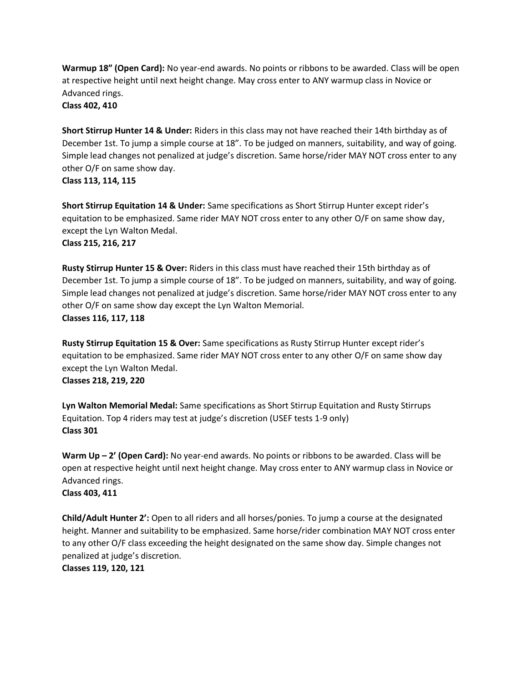**Warmup 18" (Open Card):** No year-end awards. No points or ribbons to be awarded. Class will be open at respective height until next height change. May cross enter to ANY warmup class in Novice or Advanced rings.

**Class 402, 410**

**Short Stirrup Hunter 14 & Under:** Riders in this class may not have reached their 14th birthday as of December 1st. To jump a simple course at 18". To be judged on manners, suitability, and way of going. Simple lead changes not penalized at judge's discretion. Same horse/rider MAY NOT cross enter to any other O/F on same show day. **Class 113, 114, 115**

**Short Stirrup Equitation 14 & Under:** Same specifications as Short Stirrup Hunter except rider's equitation to be emphasized. Same rider MAY NOT cross enter to any other O/F on same show day, except the Lyn Walton Medal.

```
Class 215, 216, 217
```
**Rusty Stirrup Hunter 15 & Over:** Riders in this class must have reached their 15th birthday as of December 1st. To jump a simple course of 18". To be judged on manners, suitability, and way of going. Simple lead changes not penalized at judge's discretion. Same horse/rider MAY NOT cross enter to any other O/F on same show day except the Lyn Walton Memorial.

**Classes 116, 117, 118**

**Rusty Stirrup Equitation 15 & Over:** Same specifications as Rusty Stirrup Hunter except rider's equitation to be emphasized. Same rider MAY NOT cross enter to any other O/F on same show day except the Lyn Walton Medal. **Classes 218, 219, 220**

**Lyn Walton Memorial Medal:** Same specifications as Short Stirrup Equitation and Rusty Stirrups Equitation. Top 4 riders may test at judge's discretion (USEF tests 1-9 only) **Class 301**

**Warm Up – 2' (Open Card):** No year-end awards. No points or ribbons to be awarded. Class will be open at respective height until next height change. May cross enter to ANY warmup class in Novice or Advanced rings.

**Class 403, 411**

**Child/Adult Hunter 2':** Open to all riders and all horses/ponies. To jump a course at the designated height. Manner and suitability to be emphasized. Same horse/rider combination MAY NOT cross enter to any other O/F class exceeding the height designated on the same show day. Simple changes not penalized at judge's discretion.

**Classes 119, 120, 121**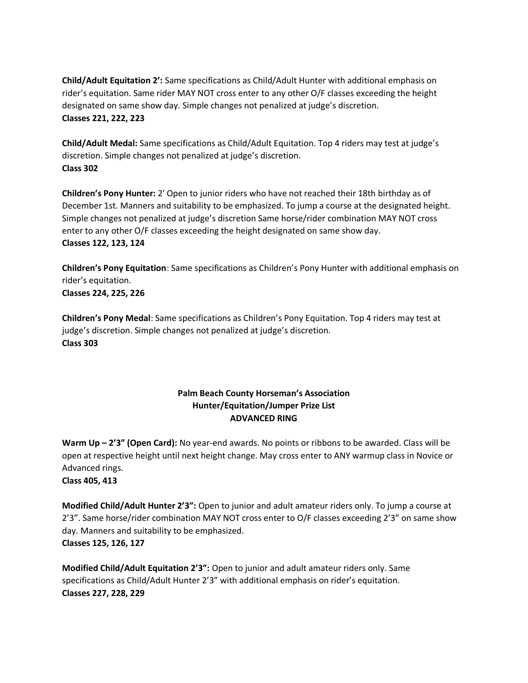**Child/Adult Equitation 2':** Same specifications as Child/Adult Hunter with additional emphasis on rider's equitation. Same rider MAY NOT cross enter to any other O/F classes exceeding the height designated on same show day. Simple changes not penalized at judge's discretion. **Classes 221, 222, 223**

**Child/Adult Medal:** Same specifications as Child/Adult Equitation. Top 4 riders may test at judge's discretion. Simple changes not penalized at judge's discretion. **Class 302**

**Children's Pony Hunter:** 2' Open to junior riders who have not reached their 18th birthday as of December 1st. Manners and suitability to be emphasized. To jump a course at the designated height. Simple changes not penalized at judge's discretion Same horse/rider combination MAY NOT cross enter to any other O/F classes exceeding the height designated on same show day. **Classes 122, 123, 124**

**Children's Pony Equitation**: Same specifications as Children's Pony Hunter with additional emphasis on rider's equitation. **Classes 224, 225, 226**

**Children's Pony Medal**: Same specifications as Children's Pony Equitation. Top 4 riders may test at judge's discretion. Simple changes not penalized at judge's discretion. **Class 303**

# **Palm Beach County Horseman's Association Hunter/Equitation/Jumper Prize List ADVANCED RING**

**Warm Up – 2'3" (Open Card):** No year-end awards. No points or ribbons to be awarded. Class will be open at respective height until next height change. May cross enter to ANY warmup class in Novice or Advanced rings. **Class 405, 413**

**Modified Child/Adult Hunter 2'3":** Open to junior and adult amateur riders only. To jump a course at 2'3". Same horse/rider combination MAY NOT cross enter to O/F classes exceeding 2'3" on same show day. Manners and suitability to be emphasized. **Classes 125, 126, 127**

**Modified Child/Adult Equitation 2'3":** Open to junior and adult amateur riders only. Same specifications as Child/Adult Hunter 2'3" with additional emphasis on rider's equitation. **Classes 227, 228, 229**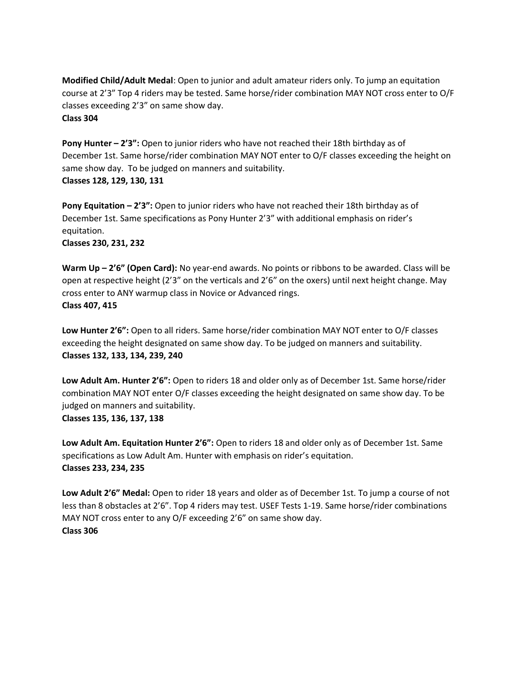**Modified Child/Adult Medal**: Open to junior and adult amateur riders only. To jump an equitation course at 2'3" Top 4 riders may be tested. Same horse/rider combination MAY NOT cross enter to O/F classes exceeding 2'3" on same show day.

### **Class 304**

**Pony Hunter – 2'3":** Open to junior riders who have not reached their 18th birthday as of December 1st. Same horse/rider combination MAY NOT enter to O/F classes exceeding the height on same show day. To be judged on manners and suitability. **Classes 128, 129, 130, 131**

**Pony Equitation – 2'3":** Open to junior riders who have not reached their 18th birthday as of December 1st. Same specifications as Pony Hunter 2'3" with additional emphasis on rider's equitation.

**Classes 230, 231, 232**

**Warm Up – 2'6" (Open Card):** No year-end awards. No points or ribbons to be awarded. Class will be open at respective height (2'3" on the verticals and 2'6" on the oxers) until next height change. May cross enter to ANY warmup class in Novice or Advanced rings. **Class 407, 415**

**Low Hunter 2'6":** Open to all riders. Same horse/rider combination MAY NOT enter to O/F classes exceeding the height designated on same show day. To be judged on manners and suitability. **Classes 132, 133, 134, 239, 240**

**Low Adult Am. Hunter 2'6":** Open to riders 18 and older only as of December 1st. Same horse/rider combination MAY NOT enter O/F classes exceeding the height designated on same show day. To be judged on manners and suitability.

**Classes 135, 136, 137, 138**

**Low Adult Am. Equitation Hunter 2'6":** Open to riders 18 and older only as of December 1st. Same specifications as Low Adult Am. Hunter with emphasis on rider's equitation. **Classes 233, 234, 235**

**Low Adult 2'6" Medal:** Open to rider 18 years and older as of December 1st. To jump a course of not less than 8 obstacles at 2'6". Top 4 riders may test. USEF Tests 1-19. Same horse/rider combinations MAY NOT cross enter to any O/F exceeding 2'6" on same show day. **Class 306**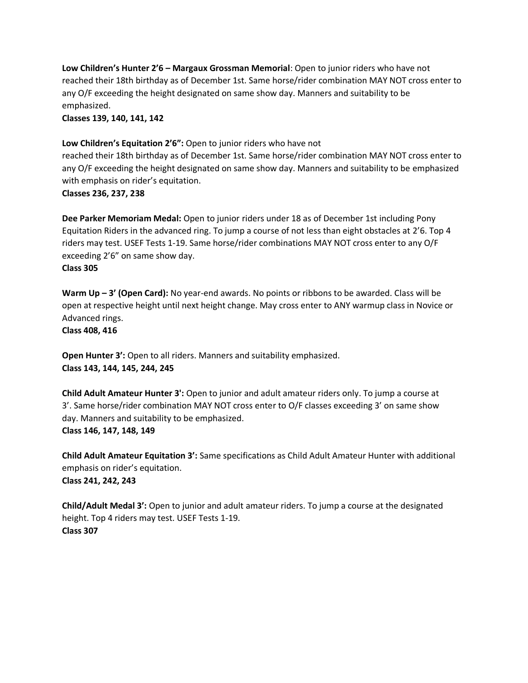**Low Children's Hunter 2'6 – Margaux Grossman Memorial**: Open to junior riders who have not reached their 18th birthday as of December 1st. Same horse/rider combination MAY NOT cross enter to any O/F exceeding the height designated on same show day. Manners and suitability to be emphasized.

**Classes 139, 140, 141, 142**

### **Low Children's Equitation 2'6":** Open to junior riders who have not

reached their 18th birthday as of December 1st. Same horse/rider combination MAY NOT cross enter to any O/F exceeding the height designated on same show day. Manners and suitability to be emphasized with emphasis on rider's equitation.

**Classes 236, 237, 238**

**Dee Parker Memoriam Medal:** Open to junior riders under 18 as of December 1st including Pony Equitation Riders in the advanced ring. To jump a course of not less than eight obstacles at 2'6. Top 4 riders may test. USEF Tests 1-19. Same horse/rider combinations MAY NOT cross enter to any O/F exceeding 2'6" on same show day.

### **Class 305**

**Warm Up – 3' (Open Card):** No year-end awards. No points or ribbons to be awarded. Class will be open at respective height until next height change. May cross enter to ANY warmup class in Novice or Advanced rings.

**Class 408, 416**

**Open Hunter 3':** Open to all riders. Manners and suitability emphasized. **Class 143, 144, 145, 244, 245**

**Child Adult Amateur Hunter 3':** Open to junior and adult amateur riders only. To jump a course at 3'. Same horse/rider combination MAY NOT cross enter to O/F classes exceeding 3' on same show day. Manners and suitability to be emphasized. **Class 146, 147, 148, 149**

**Child Adult Amateur Equitation 3':** Same specifications as Child Adult Amateur Hunter with additional emphasis on rider's equitation. **Class 241, 242, 243**

**Child/Adult Medal 3':** Open to junior and adult amateur riders. To jump a course at the designated height. Top 4 riders may test. USEF Tests 1-19. **Class 307**